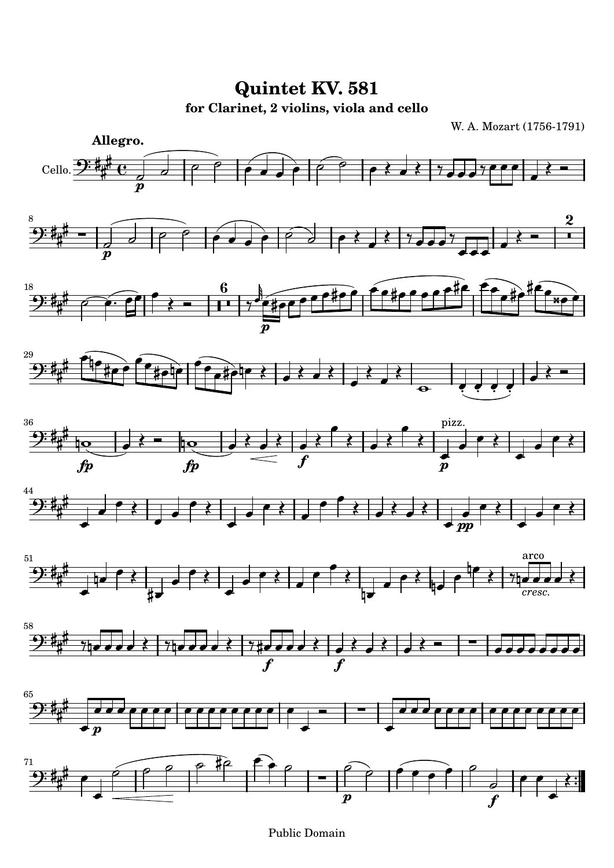**for Clarinet, 2 violins, viola and cello Quintet KV. 581**

W. A. Mozart (1756-1791)



Public Domain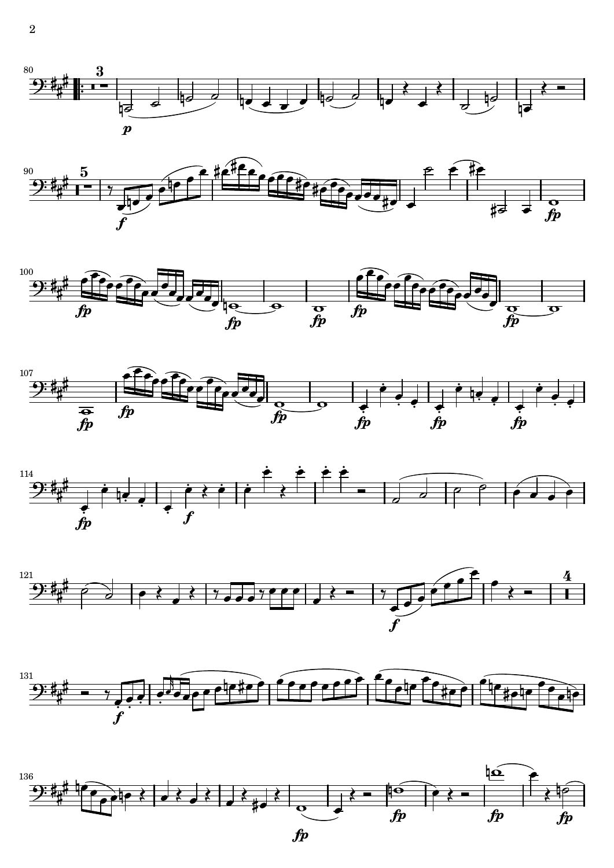













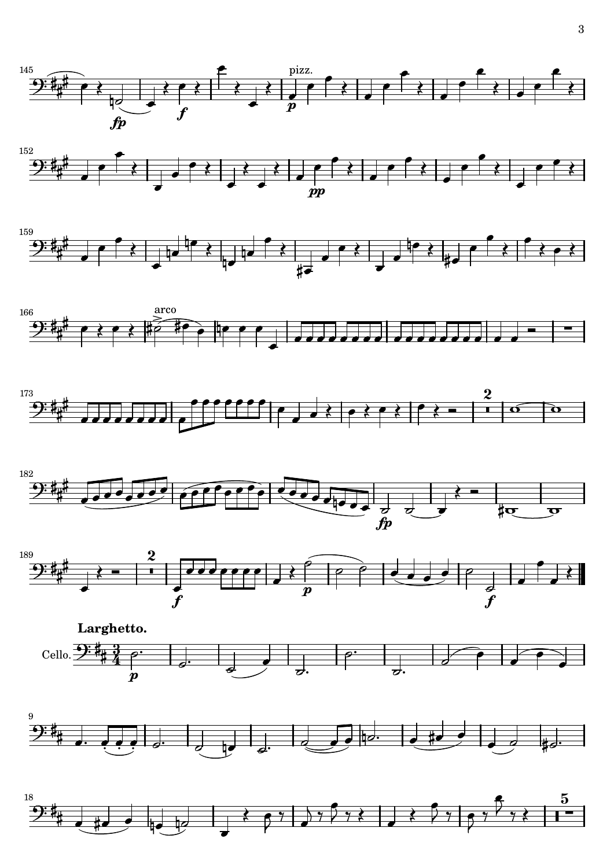

















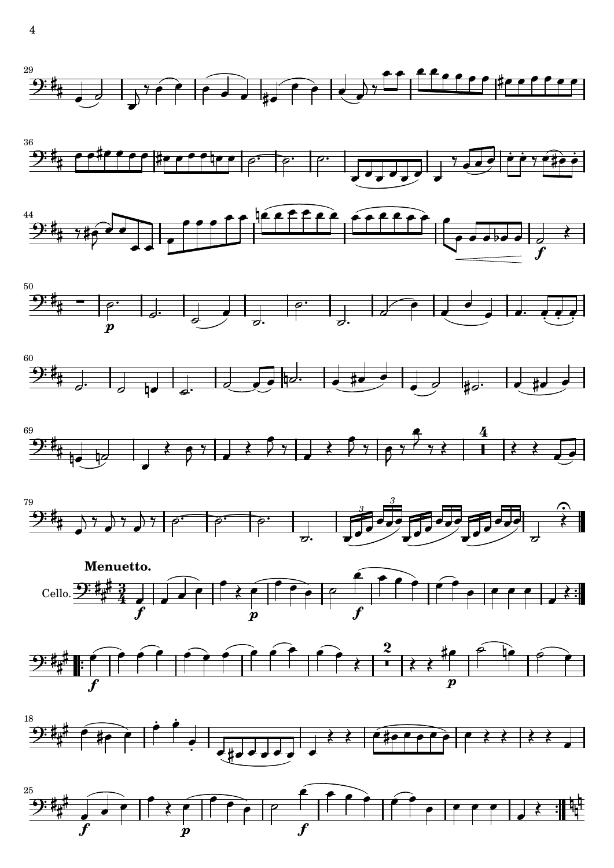



















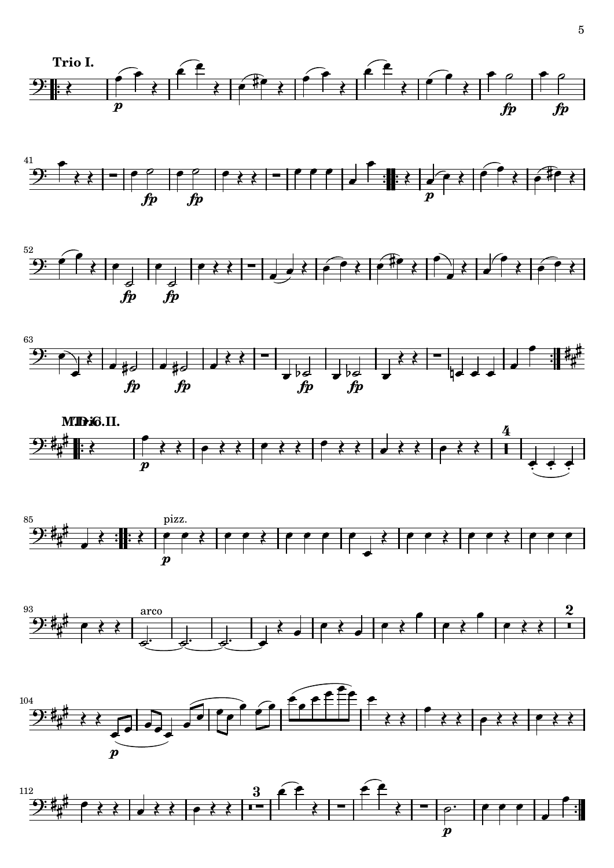















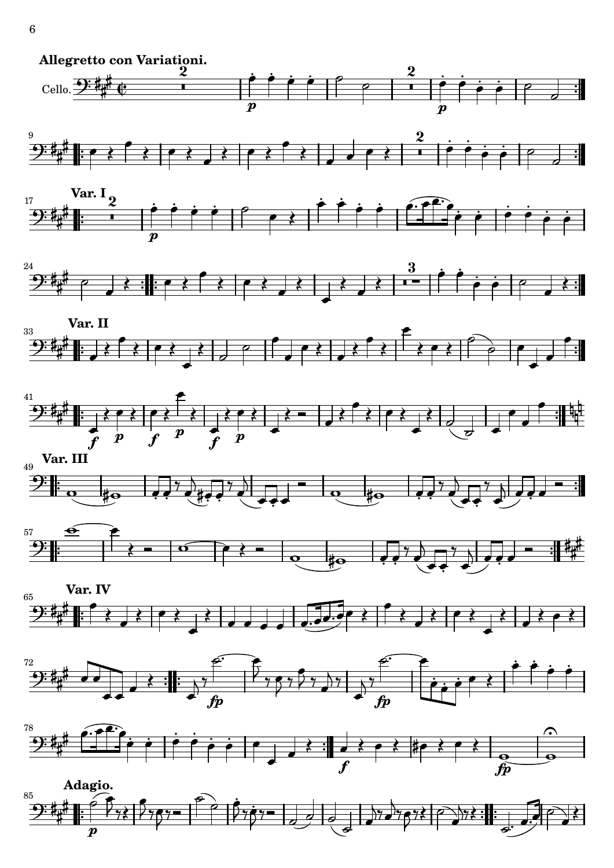